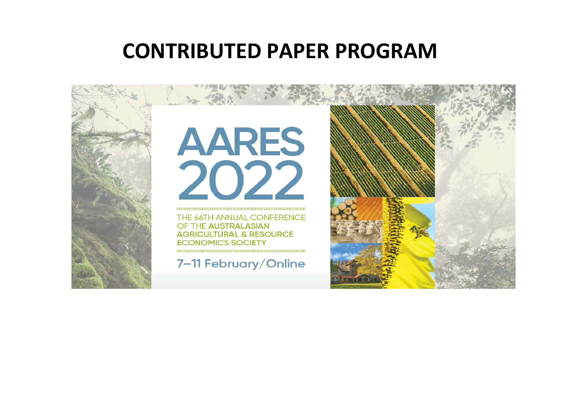## **CONTRIBUTED PAPER PROGRAM**

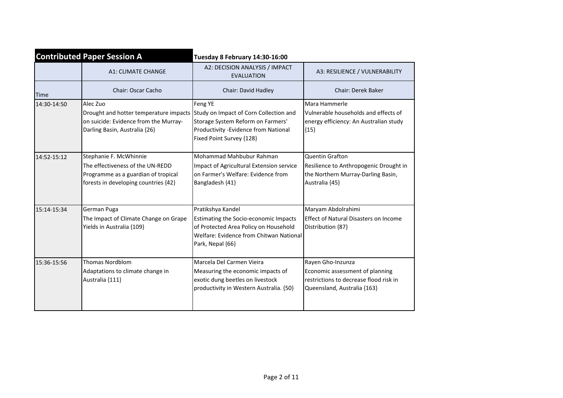| <b>Contributed Paper Session A</b> |                                                                                                                                                                     | Tuesday 8 February 14:30-16:00                                                                                                                                     |                                                                                                                               |  |
|------------------------------------|---------------------------------------------------------------------------------------------------------------------------------------------------------------------|--------------------------------------------------------------------------------------------------------------------------------------------------------------------|-------------------------------------------------------------------------------------------------------------------------------|--|
|                                    | <b>A1: CLIMATE CHANGE</b>                                                                                                                                           | A2: DECISION ANALYSIS / IMPACT<br><b>EVALUATION</b>                                                                                                                | A3: RESILIENCE / VULNERABILITY                                                                                                |  |
| <b>Time</b>                        | Chair: Oscar Cacho                                                                                                                                                  | Chair: David Hadley                                                                                                                                                | Chair: Derek Baker                                                                                                            |  |
| 14:30-14:50                        | Alec Zuo<br>Drought and hotter temperature impacts Study on Impact of Corn Collection and<br>on suicide: Evidence from the Murray-<br>Darling Basin, Australia {26} | Feng YE<br>Storage System Reform on Farmers'<br>Productivity - Evidence from National<br>Fixed Point Survey {128}                                                  | Mara Hammerle<br>Vulnerable households and effects of<br>energy efficiency: An Australian study<br>${15}$                     |  |
| 14:52-15:12                        | Stephanie F. McWhinnie<br>The effectiveness of the UN-REDD<br>Programme as a guardian of tropical<br>forests in developing countries {42}                           | Mohammad Mahbubur Rahman<br>Impact of Agricultural Extension service<br>on Farmer's Welfare: Evidence from<br>Bangladesh {41}                                      | <b>Quentin Grafton</b><br>Resilience to Anthropogenic Drought in<br>the Northern Murray-Darling Basin,<br>Australia {45}      |  |
| 15:14-15:34                        | German Puga<br>The Impact of Climate Change on Grape<br>Yields in Australia {109}                                                                                   | Pratikshya Kandel<br>Estimating the Socio-economic Impacts<br>of Protected Area Policy on Household<br>Welfare: Evidence from Chitwan National<br>Park, Nepal {66} | Maryam Abdolrahimi<br><b>Effect of Natural Disasters on Income</b><br>Distribution {87}                                       |  |
| 15:36-15:56                        | <b>Thomas Nordblom</b><br>Adaptations to climate change in<br>Australia {111}                                                                                       | Marcela Del Carmen Vieira<br>Measuring the economic impacts of<br>exotic dung beetles on livestock<br>productivity in Western Australia. {50}                      | Rayen Gho-Inzunza<br>Economic assessment of planning<br>restrictions to decrease flood risk in<br>Queensland, Australia {163} |  |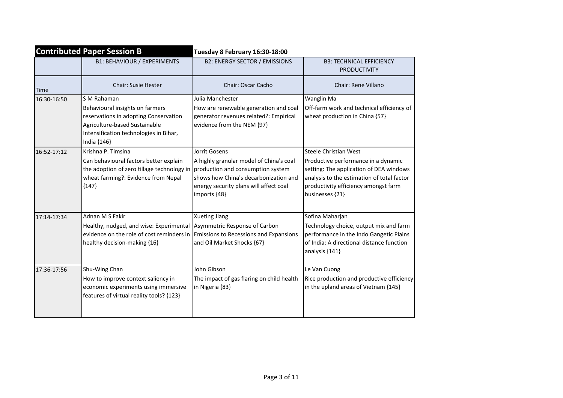| <b>Contributed Paper Session B</b> |                                                                                                                                                                                   | Tuesday 8 February 16:30-18:00                                                                                                                                                                   |                                                                                                                                                                                                                  |  |
|------------------------------------|-----------------------------------------------------------------------------------------------------------------------------------------------------------------------------------|--------------------------------------------------------------------------------------------------------------------------------------------------------------------------------------------------|------------------------------------------------------------------------------------------------------------------------------------------------------------------------------------------------------------------|--|
|                                    | <b>B1: BEHAVIOUR / EXPERIMENTS</b>                                                                                                                                                | <b>B2: ENERGY SECTOR / EMISSIONS</b>                                                                                                                                                             | <b>B3: TECHNICAL EFFICIENCY</b><br><b>PRODUCTIVITY</b>                                                                                                                                                           |  |
| <b>Time</b>                        | <b>Chair: Susie Hester</b>                                                                                                                                                        | Chair: Oscar Cacho                                                                                                                                                                               | Chair: Rene Villano                                                                                                                                                                                              |  |
| 16:30-16:50                        | S M Rahaman<br>Behavioural insights on farmers<br>reservations in adopting Conservation<br>Agriculture-based Sustainable<br>Intensification technologies in Bihar,<br>India {146} | Julia Manchester<br>How are renewable generation and coal<br>generator revenues related?: Empirical<br>evidence from the NEM {97}                                                                | Wanglin Ma<br>Off-farm work and technical efficiency of<br>wheat production in China {57}                                                                                                                        |  |
| 16:52-17:12                        | Krishna P. Timsina<br>Can behavioural factors better explain<br>the adoption of zero tillage technology in<br>wheat farming?: Evidence from Nepal<br>${147}$                      | Jorrit Gosens<br>A highly granular model of China's coal<br>production and consumption system<br>shows how China's decarbonization and<br>energy security plans will affect coal<br>imports {48} | Steele Christian West<br>Productive performance in a dynamic<br>setting: The application of DEA windows<br>analysis to the estimation of total factor<br>productivity efficiency amongst farm<br>businesses {21} |  |
| 17:14-17:34                        | Adnan M S Fakir<br>Healthy, nudged, and wise: Experimental<br>evidence on the role of cost reminders in<br>healthy decision-making {16}                                           | <b>Xueting Jiang</b><br>Asymmetric Response of Carbon<br>Emissions to Recessions and Expansions<br>and Oil Market Shocks {67}                                                                    | Sofina Maharjan<br>Technology choice, output mix and farm<br>performance in the Indo Gangetic Plains<br>of India: A directional distance function<br>analysis {141}                                              |  |
| 17:36-17:56                        | Shu-Wing Chan<br>How to improve context saliency in<br>economic experiments using immersive<br>features of virtual reality tools? {123}                                           | John Gibson<br>The impact of gas flaring on child health<br>in Nigeria {83}                                                                                                                      | Le Van Cuong<br>Rice production and productive efficiency<br>in the upland areas of Vietnam {145}                                                                                                                |  |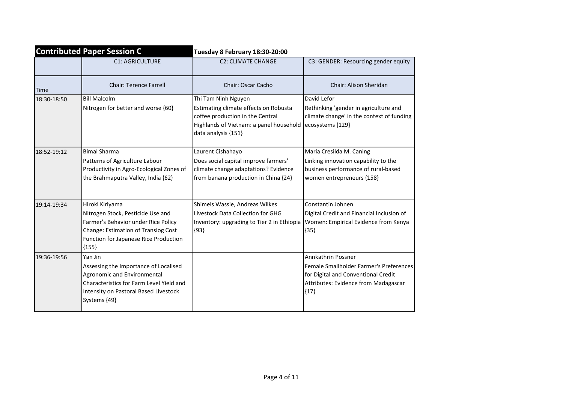|             | <b>Contributed Paper Session C</b>                                                                                                                                                     | Tuesday 8 February 18:30-20:00                                                                                                                                     |                                                                                                                                                        |  |
|-------------|----------------------------------------------------------------------------------------------------------------------------------------------------------------------------------------|--------------------------------------------------------------------------------------------------------------------------------------------------------------------|--------------------------------------------------------------------------------------------------------------------------------------------------------|--|
|             | <b>C1: AGRICULTURE</b>                                                                                                                                                                 | <b>C2: CLIMATE CHANGE</b>                                                                                                                                          | C3: GENDER: Resourcing gender equity                                                                                                                   |  |
| Time        | <b>Chair: Terence Farrell</b>                                                                                                                                                          | Chair: Oscar Cacho                                                                                                                                                 | Chair: Alison Sheridan                                                                                                                                 |  |
| 18:30-18:50 | <b>Bill Malcolm</b><br>Nitrogen for better and worse {60}                                                                                                                              | Thi Tam Ninh Nguyen<br>Estimating climate effects on Robusta<br>coffee production in the Central<br>Highlands of Vietnam: a panel household<br>data analysis {151} | David Lefor<br>Rethinking 'gender in agriculture and<br>climate change' in the context of funding<br>ecosystems {129}                                  |  |
| 18:52-19:12 | <b>Bimal Sharma</b><br>Patterns of Agriculture Labour<br>Productivity in Agro-Ecological Zones of<br>the Brahmaputra Valley, India {62}                                                | Laurent Cishahayo<br>Does social capital improve farmers'<br>climate change adaptations? Evidence<br>from banana production in China {24}                          | Maria Cresilda M. Caning<br>Linking innovation capability to the<br>business performance of rural-based<br>women entrepreneurs {158}                   |  |
| 19:14-19:34 | Hiroki Kiriyama<br>Nitrogen Stock, Pesticide Use and<br>Farmer's Behavior under Rice Policy<br>Change: Estimation of Translog Cost<br>Function for Japanese Rice Production<br>${155}$ | Shimels Wassie, Andreas Wilkes<br>Livestock Data Collection for GHG<br>Inventory: upgrading to Tier 2 in Ethiopia<br>${93}$                                        | Constantin Johnen<br>Digital Credit and Financial Inclusion of<br>Women: Empirical Evidence from Kenya<br>${35}$                                       |  |
| 19:36-19:56 | Yan Jin<br>Assessing the Importance of Localised<br>Agronomic and Environmental<br>Characteristics for Farm Level Yield and<br>Intensity on Pastoral Based Livestock<br>Systems {49}   |                                                                                                                                                                    | Annkathrin Possner<br>Female Smallholder Farmer's Preferences<br>for Digital and Conventional Credit<br>Attributes: Evidence from Madagascar<br>${17}$ |  |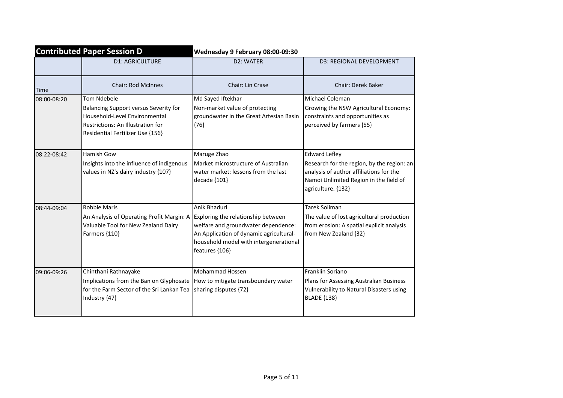| <b>Contributed Paper Session D</b> |                                                                                                                                                                       | Wednesday 9 February 08:00-09:30                                                                                                                                                                 |                                                                                                                                                                               |
|------------------------------------|-----------------------------------------------------------------------------------------------------------------------------------------------------------------------|--------------------------------------------------------------------------------------------------------------------------------------------------------------------------------------------------|-------------------------------------------------------------------------------------------------------------------------------------------------------------------------------|
|                                    | <b>D1: AGRICULTURE</b>                                                                                                                                                | D2: WATER                                                                                                                                                                                        | D3: REGIONAL DEVELOPMENT                                                                                                                                                      |
| <b>Time</b>                        | <b>Chair: Rod McInnes</b>                                                                                                                                             | Chair: Lin Crase                                                                                                                                                                                 | <b>Chair: Derek Baker</b>                                                                                                                                                     |
| 08:00-08:20                        | <b>Tom Ndebele</b><br>Balancing Support versus Severity for<br>Household-Level Environmental<br>Restrictions: An Illustration for<br>Residential Fertilizer Use {156} | Md Sayed Iftekhar<br>Non-market value of protecting<br>groundwater in the Great Artesian Basin<br>${76}$                                                                                         | Michael Coleman<br>Growing the NSW Agricultural Economy:<br>constraints and opportunities as<br>perceived by farmers {55}                                                     |
| 08:22-08:42                        | Hamish Gow<br>Insights into the influence of indigenous<br>values in NZ's dairy industry {107}                                                                        | Maruge Zhao<br>Market microstructure of Australian<br>water market: lessons from the last<br>decade {101}                                                                                        | <b>Edward Lefley</b><br>Research for the region, by the region: an<br>analysis of author affiliations for the<br>Namoi Unlimited Region in the field of<br>agriculture. {132} |
| 08:44-09:04                        | Robbie Maris<br>An Analysis of Operating Profit Margin: A<br>Valuable Tool for New Zealand Dairy<br>Farmers {110}                                                     | Anik Bhaduri<br>Exploring the relationship between<br>welfare and groundwater dependence:<br>An Application of dynamic agricultural-<br>household model with intergenerational<br>features {106} | Tarek Soliman<br>The value of lost agricultural production<br>from erosion: A spatial explicit analysis<br>from New Zealand {32}                                              |
| 09:06-09:26                        | Chinthani Rathnayake<br>Implications from the Ban on Glyphosate<br>for the Farm Sector of the Sri Lankan Tea<br>Industry {47}                                         | Mohammad Hossen<br>How to mitigate transboundary water<br>sharing disputes {72}                                                                                                                  | Franklin Soriano<br>Plans for Assessing Australian Business<br>Vulnerability to Natural Disasters using<br><b>BLADE {138}</b>                                                 |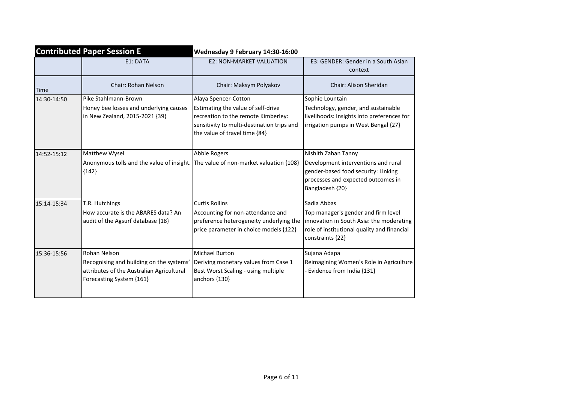| <b>Contributed Paper Session E</b> |                                                                                                                                   | Wednesday 9 February 14:30-16:00                                                                                                                                                 |                                                                                                                                                                   |  |
|------------------------------------|-----------------------------------------------------------------------------------------------------------------------------------|----------------------------------------------------------------------------------------------------------------------------------------------------------------------------------|-------------------------------------------------------------------------------------------------------------------------------------------------------------------|--|
|                                    | E1: DATA                                                                                                                          | <b>E2: NON-MARKET VALUATION</b>                                                                                                                                                  | E3: GENDER: Gender in a South Asian<br>context                                                                                                                    |  |
| <b>Time</b>                        | <b>Chair: Rohan Nelson</b>                                                                                                        | Chair: Maksym Polyakov                                                                                                                                                           | Chair: Alison Sheridan                                                                                                                                            |  |
| 14:30-14:50                        | Pike Stahlmann-Brown<br>Honey bee losses and underlying causes<br>in New Zealand, 2015-2021 {39}                                  | Alaya Spencer-Cotton<br>Estimating the value of self-drive<br>recreation to the remote Kimberley:<br>sensitivity to multi-destination trips and<br>the value of travel time {84} | Sophie Lountain<br>Technology, gender, and sustainable<br>livelihoods: Insights into preferences for<br>irrigation pumps in West Bengal {27}                      |  |
| 14:52-15:12                        | Matthew Wysel<br>Anonymous tolls and the value of insight. The value of non-market valuation {108}<br>${142}$                     | Abbie Rogers                                                                                                                                                                     | Nishith Zahan Tanny<br>Development interventions and rural<br>gender-based food security: Linking<br>processes and expected outcomes in<br>Bangladesh {20}        |  |
| 15:14-15:34                        | T.R. Hutchings<br>How accurate is the ABARES data? An<br>audit of the Agsurf database {18}                                        | <b>Curtis Rollins</b><br>Accounting for non-attendance and<br>preference heterogeneity underlying the<br>price parameter in choice models {122}                                  | Sadia Abbas<br>Top manager's gender and firm level<br>innovation in South Asia: the moderating<br>role of institutional quality and financial<br>constraints {22} |  |
| 15:36-15:56                        | Rohan Nelson<br>Recognising and building on the systems'<br>attributes of the Australian Agricultural<br>Forecasting System {161} | Michael Burton<br>Deriving monetary values from Case 1<br>Best Worst Scaling - using multiple<br>anchors {130}                                                                   | Sujana Adapa<br>Reimagining Women's Role in Agriculture<br>Evidence from India {131}                                                                              |  |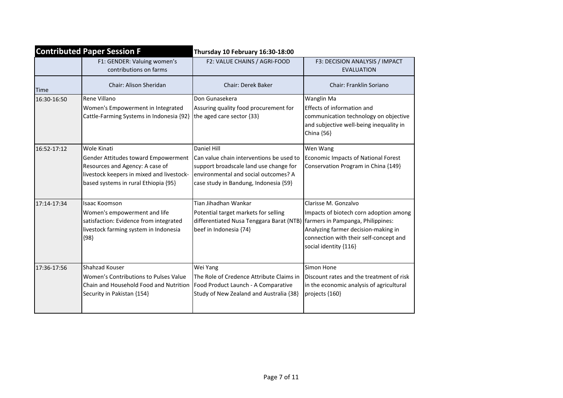| <b>Contributed Paper Session F</b> |                                                                                                                                                                            | Thursday 10 February 16:30-18:00                                                                                                                                                    |                                                                                                                                                                          |  |
|------------------------------------|----------------------------------------------------------------------------------------------------------------------------------------------------------------------------|-------------------------------------------------------------------------------------------------------------------------------------------------------------------------------------|--------------------------------------------------------------------------------------------------------------------------------------------------------------------------|--|
|                                    | F1: GENDER: Valuing women's<br>contributions on farms                                                                                                                      | F2: VALUE CHAINS / AGRI-FOOD                                                                                                                                                        | F3: DECISION ANALYSIS / IMPACT<br><b>EVALUATION</b>                                                                                                                      |  |
| Time                               | Chair: Alison Sheridan                                                                                                                                                     | <b>Chair: Derek Baker</b>                                                                                                                                                           | <b>Chair: Franklin Soriano</b>                                                                                                                                           |  |
| 16:30-16:50                        | Rene Villano<br>Women's Empowerment in Integrated<br>Cattle-Farming Systems in Indonesia {92}                                                                              | Don Gunasekera<br>Assuring quality food procurement for<br>the aged care sector {33}                                                                                                | Wanglin Ma<br>Effects of information and<br>communication technology on objective<br>and subjective well-being inequality in<br>China {56}                               |  |
| 16:52-17:12                        | Wole Kinati<br>Gender Attitudes toward Empowerment<br>Resources and Agency: A case of<br>livestock keepers in mixed and livestock-<br>based systems in rural Ethiopia {95} | Daniel Hill<br>Can value chain interventions be used to<br>support broadscale land use change for<br>lenvironmental and social outcomes? A<br>case study in Bandung, Indonesia {59} | Wen Wang<br>Economic Impacts of National Forest<br>Conservation Program in China {149}                                                                                   |  |
| 17:14-17:34                        | Isaac Koomson<br>Women's empowerment and life<br>satisfaction: Evidence from integrated<br>livestock farming system in Indonesia<br>${98}$                                 | Tian Jihadhan Wankar<br>Potential target markets for selling<br>differentiated Nusa Tenggara Barat (NTB) farmers in Pampanga, Philippines:<br>beef in Indonesia {74}                | Clarisse M. Gonzalvo<br>Impacts of biotech corn adoption among<br>Analyzing farmer decision-making in<br>connection with their self-concept and<br>social identity {116} |  |
| 17:36-17:56                        | Shahzad Kouser<br>Women's Contributions to Pulses Value<br>Chain and Household Food and Nutrition<br>Security in Pakistan {154}                                            | Wei Yang<br>The Role of Credence Attribute Claims in<br>Food Product Launch - A Comparative<br>Study of New Zealand and Australia {38}                                              | Simon Hone<br>Discount rates and the treatment of risk<br>in the economic analysis of agricultural<br>projects {160}                                                     |  |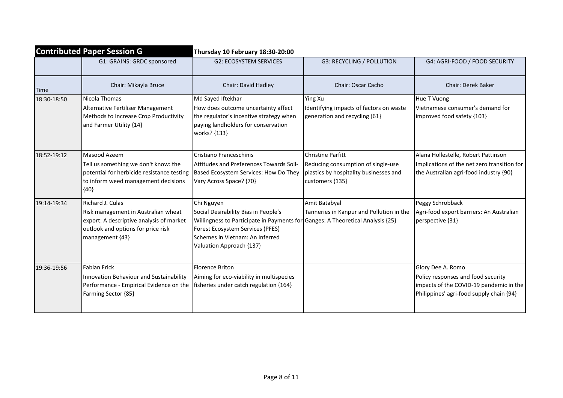|             | <b>Contributed Paper Session G</b>                                                                                                                           | Thursday 10 February 18:30-20:00                                                                                                                                                                                                        |                                                                                                                             |                                                                                                                                                |  |
|-------------|--------------------------------------------------------------------------------------------------------------------------------------------------------------|-----------------------------------------------------------------------------------------------------------------------------------------------------------------------------------------------------------------------------------------|-----------------------------------------------------------------------------------------------------------------------------|------------------------------------------------------------------------------------------------------------------------------------------------|--|
|             | G1: GRAINS: GRDC sponsored                                                                                                                                   | <b>G2: ECOSYSTEM SERVICES</b>                                                                                                                                                                                                           | <b>G3: RECYCLING / POLLUTION</b>                                                                                            | G4: AGRI-FOOD / FOOD SECURITY                                                                                                                  |  |
| Time        | Chair: Mikayla Bruce                                                                                                                                         | Chair: David Hadley                                                                                                                                                                                                                     | <b>Chair: Oscar Cacho</b>                                                                                                   | <b>Chair: Derek Baker</b>                                                                                                                      |  |
| 18:30-18:50 | Nicola Thomas<br>Alternative Fertiliser Management<br>Methods to Increase Crop Productivity<br>and Farmer Utility {14}                                       | Md Sayed Iftekhar<br>How does outcome uncertainty affect<br>the regulator's incentive strategy when<br>paying landholders for conservation<br>works? {133}                                                                              | Ying Xu<br>Identifying impacts of factors on waste<br>generation and recycling {61}                                         | Hue T Vuong<br>Vietnamese consumer's demand for<br>improved food safety {103}                                                                  |  |
| 18:52-19:12 | Masood Azeem<br>Tell us something we don't know: the<br>potential for herbicide resistance testing<br>to inform weed management decisions<br>${40}$          | Cristiano Franceschinis<br>Attitudes and Preferences Towards Soil-<br>Based Ecosystem Services: How Do They<br>Vary Across Space? {70}                                                                                                  | <b>Christine Parfitt</b><br>Reducing consumption of single-use<br>plastics by hospitality businesses and<br>customers {135} | Alana Hollestelle, Robert Pattinson<br>Implications of the net zero transition for<br>the Australian agri-food industry {90}                   |  |
| 19:14-19:34 | Richard J. Culas<br>Risk management in Australian wheat<br>export: A descriptive analysis of market<br>outlook and options for price risk<br>management {43} | Chi Nguyen<br>Social Desirability Bias in People's<br>Willingness to Participate in Payments for Ganges: A Theoretical Analysis {25}<br>Forest Ecosystem Services (PFES)<br>Schemes in Vietnam: An Inferred<br>Valuation Approach {137} | Amit Batabyal<br>Tanneries in Kanpur and Pollution in the                                                                   | Peggy Schrobback<br>Agri-food export barriers: An Australian<br>perspective {31}                                                               |  |
| 19:36-19:56 | <b>Fabian Frick</b><br>Innovation Behaviour and Sustainability<br>Performance - Empirical Evidence on the<br>Farming Sector {85}                             | <b>Florence Briton</b><br>Aiming for eco-viability in multispecies<br>fisheries under catch regulation {164}                                                                                                                            |                                                                                                                             | Glory Dee A. Romo<br>Policy responses and food security<br>impacts of the COVID-19 pandemic in the<br>Philippines' agri-food supply chain {94} |  |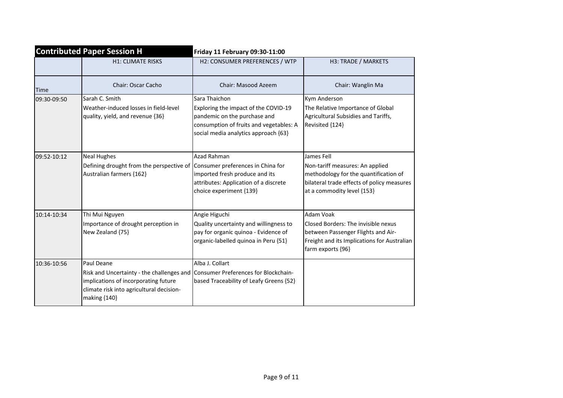| <b>Contributed Paper Session H</b> |                                                                                                                                                             | Friday 11 February 09:30-11:00                                                                                                                                           |                                                                                                                                                                    |
|------------------------------------|-------------------------------------------------------------------------------------------------------------------------------------------------------------|--------------------------------------------------------------------------------------------------------------------------------------------------------------------------|--------------------------------------------------------------------------------------------------------------------------------------------------------------------|
|                                    | <b>H1: CLIMATE RISKS</b>                                                                                                                                    | H2: CONSUMER PREFERENCES / WTP                                                                                                                                           | H3: TRADE / MARKETS                                                                                                                                                |
| Time                               | Chair: Oscar Cacho                                                                                                                                          | Chair: Masood Azeem                                                                                                                                                      | Chair: Wanglin Ma                                                                                                                                                  |
| 09:30-09:50                        | Sarah C. Smith<br>Weather-induced losses in field-level<br>quality, yield, and revenue {36}                                                                 | Sara Thaichon<br>Exploring the impact of the COVID-19<br>pandemic on the purchase and<br>consumption of fruits and vegetables: A<br>social media analytics approach {63} | Kym Anderson<br>The Relative Importance of Global<br>Agricultural Subsidies and Tariffs,<br>Revisited {124}                                                        |
| 09:52-10:12                        | <b>Neal Hughes</b><br>Defining drought from the perspective of<br>Australian farmers {162}                                                                  | Azad Rahman<br>Consumer preferences in China for<br>imported fresh produce and its<br>attributes: Application of a discrete<br>choice experiment {139}                   | James Fell<br>Non-tariff measures: An applied<br>methodology for the quantification of<br>bilateral trade effects of policy measures<br>at a commodity level {153} |
| 10:14-10:34                        | Thi Mui Nguyen<br>Importance of drought perception in<br>New Zealand {75}                                                                                   | Angie Higuchi<br>Quality uncertainty and willingness to<br>pay for organic quinoa - Evidence of<br>organic-labelled quinoa in Peru {51}                                  | Adam Voak<br>Closed Borders: The invisible nexus<br>between Passenger Flights and Air-<br>Freight and its Implications for Australian<br>farm exports {96}         |
| 10:36-10:56                        | Paul Deane<br>Risk and Uncertainty - the challenges and<br>implications of incorporating future<br>climate risk into agricultural decision-<br>making {140} | Alba J. Collart<br>Consumer Preferences for Blockchain-<br>based Traceability of Leafy Greens {52}                                                                       |                                                                                                                                                                    |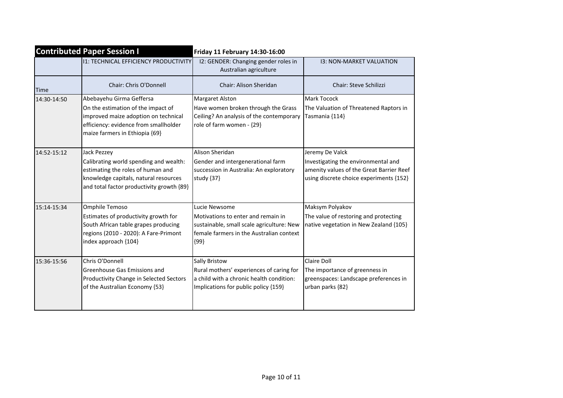| <b>Contributed Paper Session I</b> |                                                                                                                                                                                   | Friday 11 February 14:30-16:00                                                                                                                          |                                                                                                                                               |
|------------------------------------|-----------------------------------------------------------------------------------------------------------------------------------------------------------------------------------|---------------------------------------------------------------------------------------------------------------------------------------------------------|-----------------------------------------------------------------------------------------------------------------------------------------------|
|                                    | <b>11: TECHNICAL EFFICIENCY PRODUCTIVITY</b>                                                                                                                                      | I2: GENDER: Changing gender roles in<br>Australian agriculture                                                                                          | <b>13: NON-MARKET VALUATION</b>                                                                                                               |
| Time                               | Chair: Chris O'Donnell                                                                                                                                                            | Chair: Alison Sheridan                                                                                                                                  | <b>Chair: Steve Schilizzi</b>                                                                                                                 |
| 14:30-14:50                        | Abebayehu Girma Geffersa<br>On the estimation of the impact of<br>improved maize adoption on technical<br>efficiency: evidence from smallholder<br>maize farmers in Ethiopia {69} | Margaret Alston<br>Have women broken through the Grass<br>Ceiling? An analysis of the contemporary<br>role of farm women - {29}                         | <b>Mark Tocock</b><br>The Valuation of Threatened Raptors in<br>Tasmania {114}                                                                |
| 14:52-15:12                        | Jack Pezzey<br>Calibrating world spending and wealth:<br>estimating the roles of human and<br>knowledge capitals, natural resources<br>and total factor productivity growth {89}  | Alison Sheridan<br>Gender and intergenerational farm<br>succession in Australia: An exploratory<br>study {37}                                           | Jeremy De Valck<br>Investigating the environmental and<br>amenity values of the Great Barrier Reef<br>using discrete choice experiments {152} |
| 15:14-15:34                        | Omphile Temoso<br>Estimates of productivity growth for<br>South African table grapes producing<br>regions (2010 - 2020): A Fare-Primont<br>index approach {104}                   | Lucie Newsome<br>Motivations to enter and remain in<br>sustainable, small scale agriculture: New<br>Ifemale farmers in the Australian context<br>${99}$ | Maksym Polyakov<br>The value of restoring and protecting<br>native vegetation in New Zealand {105}                                            |
| 15:36-15:56                        | Chris O'Donnell<br>Greenhouse Gas Emissions and<br>Productivity Change in Selected Sectors<br>of the Australian Economy {53}                                                      | Sally Bristow<br>Rural mothers' experiences of caring for<br>a child with a chronic health condition:<br>Implications for public policy {159}           | Claire Doll<br>The importance of greenness in<br>greenspaces: Landscape preferences in<br>urban parks {82}                                    |